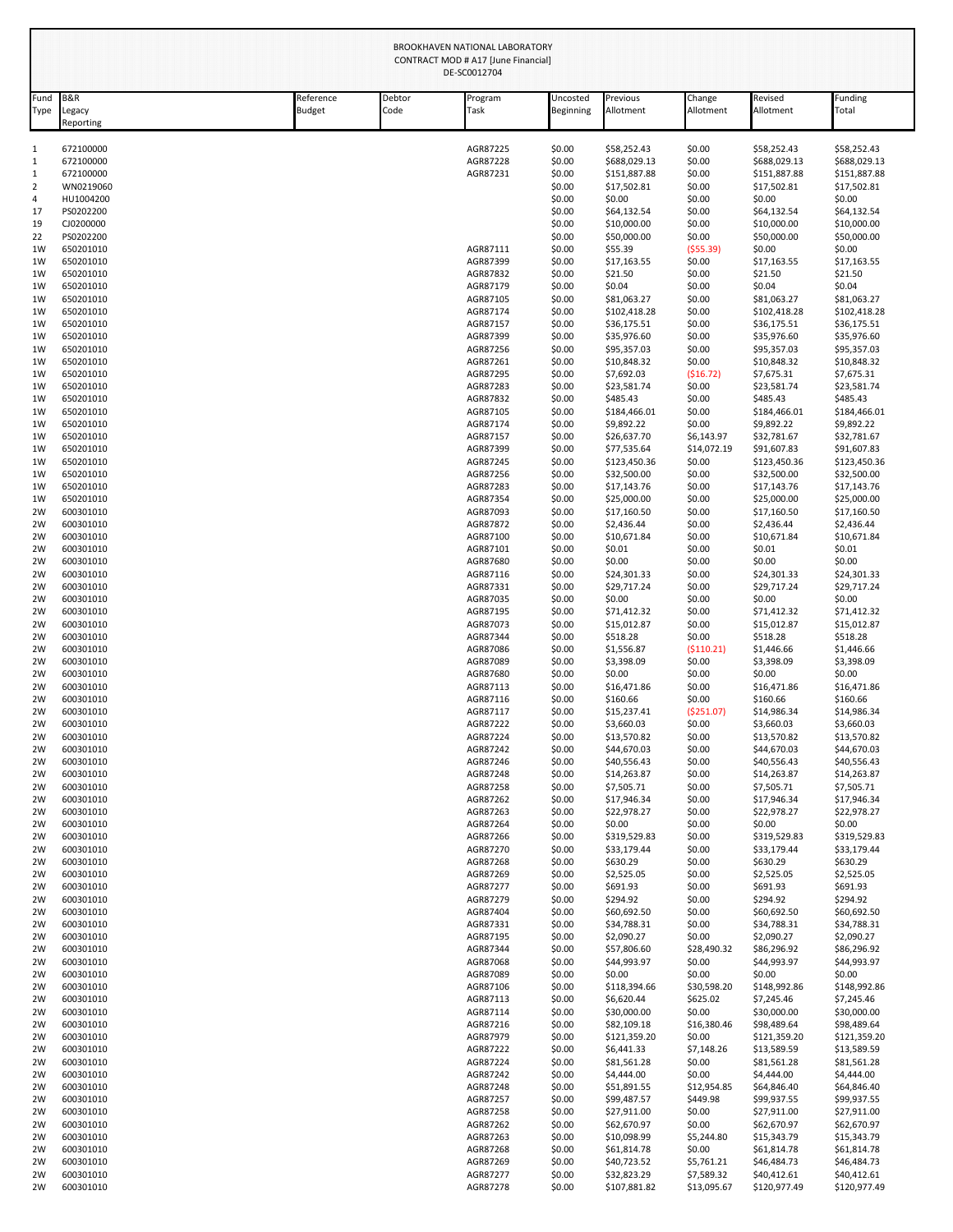|              | BROOKHAVEN NATIONAL LABORATORY<br>CONTRACT MOD # A17 [June Financial]<br>DE-SC0012704 |                     |                |                      |                       |                             |                       |                             |                             |
|--------------|---------------------------------------------------------------------------------------|---------------------|----------------|----------------------|-----------------------|-----------------------------|-----------------------|-----------------------------|-----------------------------|
| Fund<br>Type | B&R<br>Legacy<br>Reporting                                                            | Reference<br>Budget | Debtor<br>Code | Program<br>Task      | Uncosted<br>Beginning | Previous<br>Allotment       | Change<br>Allotment   | Revised<br>Allotment        | Funding<br>Total            |
| 1            | 672100000                                                                             |                     |                | AGR87225             | \$0.00                | \$58,252.43                 | \$0.00                | \$58,252.43                 | \$58,252.43                 |
| $\mathbf{1}$ | 672100000                                                                             |                     |                | AGR87228             | \$0.00                | \$688,029.13                | \$0.00                | \$688,029.13                | \$688,029.13                |
| 1            | 672100000                                                                             |                     |                | AGR87231             | \$0.00                | \$151,887.88                | \$0.00                | \$151,887.88                | \$151,887.88                |
| 2            | WN0219060                                                                             |                     |                |                      | \$0.00                | \$17,502.81                 | \$0.00                | \$17,502.81                 | \$17,502.81                 |
| 4<br>17      | HU1004200<br>PS0202200                                                                |                     |                |                      | \$0.00<br>\$0.00      | \$0.00<br>\$64,132.54       | \$0.00<br>\$0.00      | \$0.00<br>\$64,132.54       | \$0.00<br>\$64,132.54       |
| 19           | CJ0200000                                                                             |                     |                |                      | \$0.00                | \$10,000.00                 | \$0.00                | \$10,000.00                 | \$10,000.00                 |
| 22           | PS0202200                                                                             |                     |                |                      | \$0.00                | \$50,000.00                 | \$0.00                | \$50,000.00                 | \$50,000.00                 |
| 1W           | 650201010                                                                             |                     |                | AGR87111             | \$0.00                | \$55.39                     | ( \$55.39)            | \$0.00                      | \$0.00                      |
| 1W           | 650201010                                                                             |                     |                | AGR87399             | \$0.00                | \$17,163.55                 | \$0.00                | \$17,163.55                 | \$17,163.55                 |
| 1W           | 650201010                                                                             |                     |                | AGR87832             | \$0.00                | \$21.50                     | \$0.00                | \$21.50                     | \$21.50                     |
| 1W<br>1W     | 650201010<br>650201010                                                                |                     |                | AGR87179<br>AGR87105 | \$0.00<br>\$0.00      | \$0.04<br>\$81,063.27       | \$0.00<br>\$0.00      | \$0.04<br>\$81,063.27       | \$0.04<br>\$81,063.27       |
| 1W           | 650201010                                                                             |                     |                | AGR87174             | \$0.00                | \$102,418.28                | \$0.00                | \$102,418.28                | \$102,418.28                |
| 1W           | 650201010                                                                             |                     |                | AGR87157             | \$0.00                | \$36,175.51                 | \$0.00                | \$36,175.51                 | \$36,175.51                 |
| 1W           | 650201010                                                                             |                     |                | AGR87399             | \$0.00                | \$35,976.60                 | \$0.00                | \$35,976.60                 | \$35,976.60                 |
| 1W           | 650201010                                                                             |                     |                | AGR87256             | \$0.00                | \$95,357.03                 | \$0.00                | \$95,357.03                 | \$95,357.03                 |
| 1W           | 650201010                                                                             |                     |                | AGR87261             | \$0.00                | \$10,848.32                 | \$0.00                | \$10,848.32                 | \$10,848.32                 |
| 1W<br>1W     | 650201010<br>650201010                                                                |                     |                | AGR87295<br>AGR87283 | \$0.00<br>\$0.00      | \$7,692.03<br>\$23,581.74   | (516.72)<br>\$0.00    | \$7,675.31<br>\$23,581.74   | \$7,675.31<br>\$23,581.74   |
| 1W           | 650201010                                                                             |                     |                | AGR87832             | \$0.00                | \$485.43                    | \$0.00                | \$485.43                    | \$485.43                    |
| 1W           | 650201010                                                                             |                     |                | AGR87105             | \$0.00                | \$184,466.01                | \$0.00                | \$184,466.01                | \$184,466.01                |
| 1W           | 650201010                                                                             |                     |                | AGR87174             | \$0.00                | \$9,892.22                  | \$0.00                | \$9,892.22                  | \$9,892.22                  |
| 1W           | 650201010                                                                             |                     |                | AGR87157             | \$0.00                | \$26,637.70                 | \$6,143.97            | \$32,781.67                 | \$32,781.67                 |
| 1W<br>1W     | 650201010<br>650201010                                                                |                     |                | AGR87399<br>AGR87245 | \$0.00<br>\$0.00      | \$77,535.64<br>\$123,450.36 | \$14,072.19<br>\$0.00 | \$91,607.83<br>\$123,450.36 | \$91,607.83<br>\$123,450.36 |
| 1W           | 650201010                                                                             |                     |                | AGR87256             | \$0.00                | \$32,500.00                 | \$0.00                | \$32,500.00                 | \$32,500.00                 |
| 1W           | 650201010                                                                             |                     |                | AGR87283             | \$0.00                | \$17,143.76                 | \$0.00                | \$17,143.76                 | \$17,143.76                 |
| 1W           | 650201010                                                                             |                     |                | AGR87354             | \$0.00                | \$25,000.00                 | \$0.00                | \$25,000.00                 | \$25,000.00                 |
| 2W           | 600301010                                                                             |                     |                | AGR87093             | \$0.00                | \$17,160.50                 | \$0.00                | \$17,160.50                 | \$17,160.50                 |
| 2W           | 600301010                                                                             |                     |                | AGR87872             | \$0.00                | \$2,436.44                  | \$0.00                | \$2,436.44                  | \$2,436.44                  |
| 2W<br>2W     | 600301010<br>600301010                                                                |                     |                | AGR87100<br>AGR87101 | \$0.00<br>\$0.00      | \$10,671.84<br>\$0.01       | \$0.00<br>\$0.00      | \$10,671.84<br>\$0.01       | \$10,671.84<br>\$0.01       |
| 2W           | 600301010                                                                             |                     |                | AGR87680             | \$0.00                | \$0.00                      | \$0.00                | \$0.00                      | \$0.00                      |
| 2W           | 600301010                                                                             |                     |                | AGR87116             | \$0.00                | \$24,301.33                 | \$0.00                | \$24,301.33                 | \$24,301.33                 |
| 2W           | 600301010                                                                             |                     |                | AGR87331             | \$0.00                | \$29,717.24                 | \$0.00                | \$29,717.24                 | \$29,717.24                 |
| 2W           | 600301010                                                                             |                     |                | AGR87035             | \$0.00                | \$0.00                      | \$0.00                | \$0.00                      | \$0.00                      |
| 2W           | 600301010                                                                             |                     |                | AGR87195             | \$0.00                | \$71,412.32                 | \$0.00                | \$71,412.32                 | \$71,412.32                 |
| 2W<br>2W     | 600301010<br>600301010                                                                |                     |                | AGR87073<br>AGR87344 | \$0.00<br>\$0.00      | \$15,012.87<br>\$518.28     | \$0.00<br>\$0.00      | \$15,012.87<br>\$518.28     | \$15,012.87<br>\$518.28     |
| 2W           | 600301010                                                                             |                     |                | AGR87086             | \$0.00                | \$1,556.87                  | ( \$110.21)           | \$1,446.66                  | \$1,446.66                  |
| 2W           | 600301010                                                                             |                     |                | AGR87089             | \$0.00                | \$3,398.09                  | \$0.00                | \$3,398.09                  | \$3,398.09                  |
| 2W           | 600301010                                                                             |                     |                | AGR87680             | \$0.00                | \$0.00                      | \$0.00                | \$0.00                      | \$0.00                      |
| 2W           | 600301010                                                                             |                     |                | AGR87113             | \$0.00                | \$16,471.86                 | \$0.00                | \$16,471.86                 | \$16,471.86                 |
| 2W<br>2W     | 600301010<br>600301010                                                                |                     |                | AGR87116<br>AGR87117 | \$0.00<br>\$0.00      | \$160.66<br>\$15,237.41     | \$0.00<br>( \$251.07) | \$160.66<br>\$14,986.34     | \$160.66<br>\$14,986.34     |
| 2W           | 600301010                                                                             |                     |                | AGR87222             | \$0.00                | \$3,660.03                  | \$0.00                | \$3,660.03                  | \$3,660.03                  |
| 2W           | 600301010                                                                             |                     |                | AGR87224             | \$0.00                | \$13,570.82                 | \$0.00                | \$13,570.82                 | \$13,570.82                 |
| 2W           | 600301010                                                                             |                     |                | AGR87242             | \$0.00                | \$44,670.03                 | \$0.00                | \$44,670.03                 | \$44,670.03                 |
| 2W           | 600301010                                                                             |                     |                | AGR87246             | \$0.00                | \$40,556.43                 | \$0.00                | \$40,556.43                 | \$40,556.43                 |
| 2W           | 600301010                                                                             |                     |                | AGR87248             | \$0.00                | \$14,263.87                 | \$0.00                | \$14,263.87                 | \$14,263.87                 |
| 2W<br>2W     | 600301010<br>600301010                                                                |                     |                | AGR87258<br>AGR87262 | \$0.00<br>\$0.00      | \$7,505.71<br>\$17,946.34   | \$0.00<br>\$0.00      | \$7,505.71<br>\$17,946.34   | \$7,505.71<br>\$17,946.34   |
| 2W           | 600301010                                                                             |                     |                | AGR87263             | \$0.00                | \$22,978.27                 | \$0.00                | \$22,978.27                 | \$22,978.27                 |
| 2W           | 600301010                                                                             |                     |                | AGR87264             | \$0.00                | \$0.00                      | \$0.00                | \$0.00                      | \$0.00                      |
| 2W           | 600301010                                                                             |                     |                | AGR87266             | \$0.00                | \$319,529.83                | \$0.00                | \$319,529.83                | \$319,529.83                |
| 2W           | 600301010                                                                             |                     |                | AGR87270             | \$0.00                | \$33,179.44                 | \$0.00                | \$33,179.44                 | \$33,179.44                 |
| 2W<br>2W     | 600301010<br>600301010                                                                |                     |                | AGR87268<br>AGR87269 | \$0.00<br>\$0.00      | \$630.29<br>\$2,525.05      | \$0.00<br>\$0.00      | \$630.29<br>\$2,525.05      | \$630.29<br>\$2,525.05      |
| 2W           | 600301010                                                                             |                     |                | AGR87277             | \$0.00                | \$691.93                    | \$0.00                | \$691.93                    | \$691.93                    |
| 2W           | 600301010                                                                             |                     |                | AGR87279             | \$0.00                | \$294.92                    | \$0.00                | \$294.92                    | \$294.92                    |
| 2W           | 600301010                                                                             |                     |                | AGR87404             | \$0.00                | \$60,692.50                 | \$0.00                | \$60,692.50                 | \$60,692.50                 |
| 2W           | 600301010                                                                             |                     |                | AGR87331             | \$0.00                | \$34,788.31                 | \$0.00                | \$34,788.31                 | \$34,788.31                 |
| 2W           | 600301010                                                                             |                     |                | AGR87195             | \$0.00                | \$2,090.27                  | \$0.00                | \$2,090.27                  | \$2,090.27                  |
| 2W<br>2W     | 600301010<br>600301010                                                                |                     |                | AGR87344<br>AGR87068 | \$0.00<br>\$0.00      | \$57,806.60<br>\$44,993.97  | \$28,490.32<br>\$0.00 | \$86,296.92<br>\$44,993.97  | \$86,296.92<br>\$44,993.97  |
| 2W           | 600301010                                                                             |                     |                | AGR87089             | \$0.00                | \$0.00                      | \$0.00                | \$0.00                      | \$0.00                      |
| 2W           | 600301010                                                                             |                     |                | AGR87106             | \$0.00                | \$118,394.66                | \$30,598.20           | \$148,992.86                | \$148,992.86                |
| 2W           | 600301010                                                                             |                     |                | AGR87113             | \$0.00                | \$6,620.44                  | \$625.02              | \$7,245.46                  | \$7,245.46                  |
| 2W           | 600301010                                                                             |                     |                | AGR87114             | \$0.00                | \$30,000.00                 | \$0.00                | \$30,000.00                 | \$30,000.00                 |
| 2W           | 600301010                                                                             |                     |                | AGR87216             | \$0.00                | \$82,109.18                 | \$16,380.46           | \$98,489.64                 | \$98,489.64                 |
| 2W<br>2W     | 600301010<br>600301010                                                                |                     |                | AGR87979<br>AGR87222 | \$0.00<br>\$0.00      | \$121,359.20<br>\$6,441.33  | \$0.00<br>\$7,148.26  | \$121,359.20<br>\$13,589.59 | \$121,359.20<br>\$13,589.59 |
| 2W           | 600301010                                                                             |                     |                | AGR87224             | \$0.00                | \$81,561.28                 | \$0.00                | \$81,561.28                 | \$81,561.28                 |
| 2W           | 600301010                                                                             |                     |                | AGR87242             | \$0.00                | \$4,444.00                  | \$0.00                | \$4,444.00                  | \$4,444.00                  |
| 2W           | 600301010                                                                             |                     |                | AGR87248             | \$0.00                | \$51,891.55                 | \$12,954.85           | \$64,846.40                 | \$64,846.40                 |
| 2W           | 600301010                                                                             |                     |                | AGR87257             | \$0.00                | \$99,487.57                 | \$449.98              | \$99,937.55                 | \$99,937.55                 |
| 2W           | 600301010                                                                             |                     |                | AGR87258             | \$0.00                | \$27,911.00                 | \$0.00                | \$27,911.00                 | \$27,911.00                 |
| 2W<br>2W     | 600301010<br>600301010                                                                |                     |                | AGR87262<br>AGR87263 | \$0.00<br>\$0.00      | \$62,670.97<br>\$10,098.99  | \$0.00<br>\$5,244.80  | \$62,670.97                 | \$62,670.97<br>\$15,343.79  |
| 2W           | 600301010                                                                             |                     |                | AGR87268             | \$0.00                | \$61,814.78                 | \$0.00                | \$15,343.79<br>\$61,814.78  | \$61,814.78                 |
| 2W           | 600301010                                                                             |                     |                | AGR87269             | \$0.00                | \$40,723.52                 | \$5,761.21            | \$46,484.73                 | \$46,484.73                 |
| 2W           | 600301010                                                                             |                     |                | AGR87277             | \$0.00                | \$32,823.29                 | \$7,589.32            | \$40,412.61                 | \$40,412.61                 |
| 2W           | 600301010                                                                             |                     |                | AGR87278             | \$0.00                | \$107,881.82                | \$13,095.67           | \$120,977.49                | \$120,977.49                |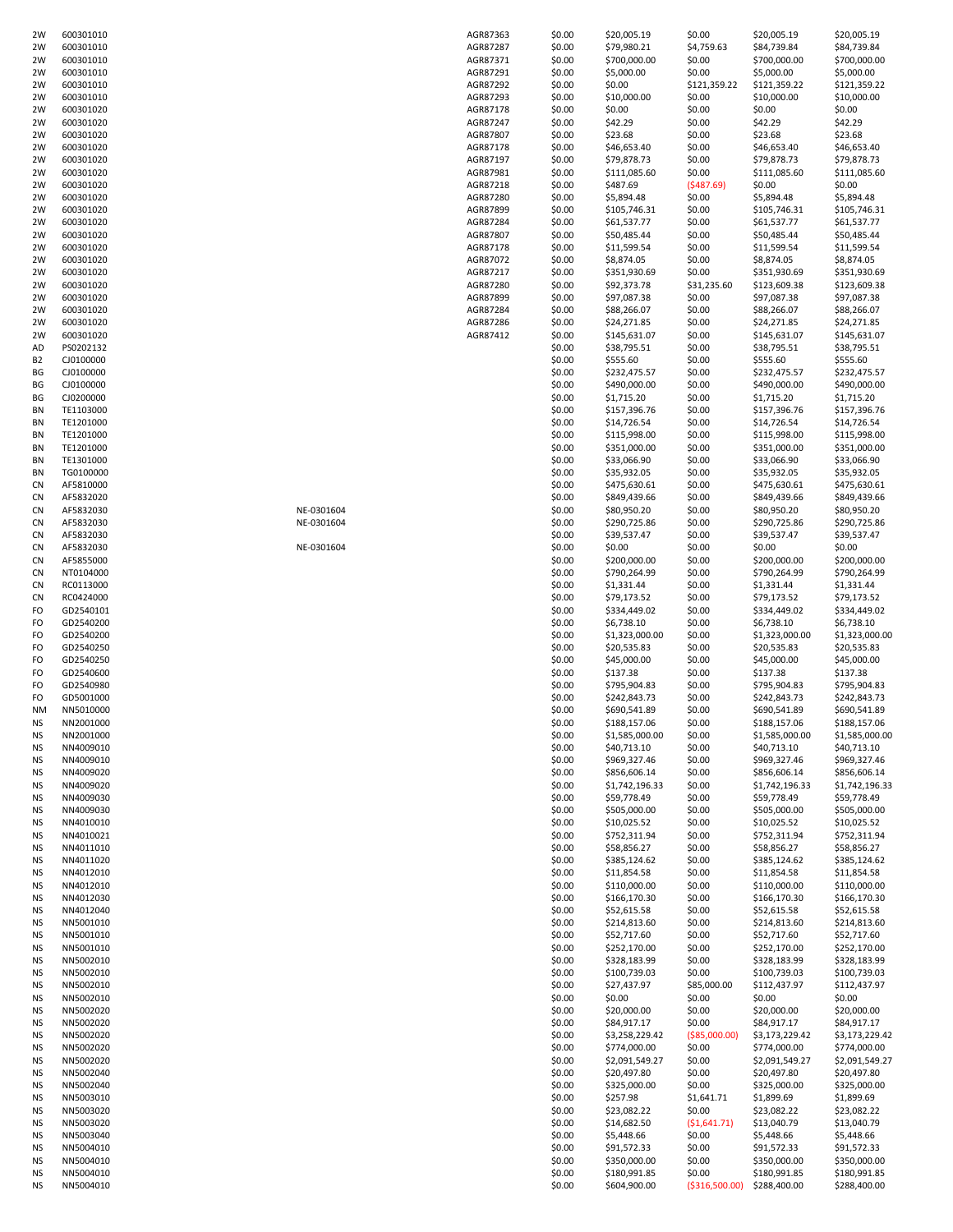| 2W             | 600301010 |            | AGR87363 | \$0.00 | \$20,005.19    | \$0.00          | \$20,005.19    | \$20,005.19    |
|----------------|-----------|------------|----------|--------|----------------|-----------------|----------------|----------------|
| 2W             | 600301010 |            | AGR87287 | \$0.00 | \$79,980.21    | \$4,759.63      | \$84,739.84    | \$84,739.84    |
|                |           |            |          |        |                |                 |                |                |
| 2W             | 600301010 |            | AGR87371 | \$0.00 | \$700,000.00   | \$0.00          | \$700,000.00   | \$700,000.00   |
| 2W             | 600301010 |            | AGR87291 | \$0.00 | \$5,000.00     | \$0.00          | \$5,000.00     | \$5,000.00     |
| 2W             | 600301010 |            | AGR87292 | \$0.00 | \$0.00         | \$121,359.22    | \$121,359.22   | \$121,359.22   |
| 2W             | 600301010 |            | AGR87293 | \$0.00 | \$10,000.00    | \$0.00          | \$10,000.00    | \$10,000.00    |
| 2W             | 600301020 |            | AGR87178 | \$0.00 | \$0.00         | \$0.00          | \$0.00         | \$0.00         |
| 2W             | 600301020 |            | AGR87247 | \$0.00 | \$42.29        | \$0.00          | \$42.29        | \$42.29        |
| 2W             | 600301020 |            | AGR87807 | \$0.00 | \$23.68        | \$0.00          | \$23.68        | \$23.68        |
| 2W             | 600301020 |            | AGR87178 | \$0.00 | \$46,653.40    | \$0.00          | \$46,653.40    | \$46,653.40    |
| 2W             | 600301020 |            | AGR87197 | \$0.00 | \$79,878.73    | \$0.00          | \$79,878.73    | \$79,878.73    |
| 2W             | 600301020 |            | AGR87981 | \$0.00 | \$111,085.60   | \$0.00          | \$111,085.60   | \$111,085.60   |
| 2W             | 600301020 |            | AGR87218 | \$0.00 | \$487.69       | (5487.69)       | \$0.00         | \$0.00         |
| 2W             | 600301020 |            | AGR87280 | \$0.00 | \$5,894.48     | \$0.00          | \$5,894.48     | \$5,894.48     |
|                |           |            |          |        |                |                 |                | \$105,746.31   |
| 2W             | 600301020 |            | AGR87899 | \$0.00 | \$105,746.31   | \$0.00          | \$105,746.31   |                |
| 2W             | 600301020 |            | AGR87284 | \$0.00 | \$61,537.77    | \$0.00          | \$61,537.77    | \$61,537.77    |
| 2W             | 600301020 |            | AGR87807 | \$0.00 | \$50,485.44    | \$0.00          | \$50,485.44    | \$50,485.44    |
| 2W             | 600301020 |            | AGR87178 | \$0.00 | \$11,599.54    | \$0.00          | \$11,599.54    | \$11,599.54    |
| 2W             | 600301020 |            | AGR87072 | \$0.00 | \$8,874.05     | \$0.00          | \$8,874.05     | \$8,874.05     |
| 2W             | 600301020 |            | AGR87217 | \$0.00 | \$351,930.69   | \$0.00          | \$351,930.69   | \$351,930.69   |
| 2W             | 600301020 |            | AGR87280 | \$0.00 | \$92,373.78    | \$31,235.60     | \$123,609.38   | \$123,609.38   |
| 2W             | 600301020 |            | AGR87899 | \$0.00 | \$97,087.38    | \$0.00          | \$97,087.38    | \$97,087.38    |
| 2W             | 600301020 |            | AGR87284 | \$0.00 | \$88,266.07    | \$0.00          | \$88,266.07    | \$88,266.07    |
| 2W             | 600301020 |            | AGR87286 | \$0.00 | \$24,271.85    | \$0.00          | \$24,271.85    | \$24,271.85    |
|                |           |            |          |        |                |                 |                |                |
| 2W             | 600301020 |            | AGR87412 | \$0.00 | \$145,631.07   | \$0.00          | \$145,631.07   | \$145,631.07   |
| AD             | PS0202132 |            |          | \$0.00 | \$38,795.51    | \$0.00          | \$38,795.51    | \$38,795.51    |
| B <sub>2</sub> | CJ0100000 |            |          | \$0.00 | \$555.60       | \$0.00          | \$555.60       | \$555.60       |
| ΒG             | CJ0100000 |            |          | \$0.00 | \$232,475.57   | \$0.00          | \$232,475.57   | \$232,475.57   |
| BG             | CJ0100000 |            |          | \$0.00 | \$490,000.00   | \$0.00          | \$490,000.00   | \$490,000.00   |
| ΒG             | CJ0200000 |            |          | \$0.00 | \$1,715.20     | \$0.00          | \$1,715.20     | \$1,715.20     |
| BN             | TE1103000 |            |          | \$0.00 | \$157,396.76   | \$0.00          | \$157,396.76   | \$157,396.76   |
| BN             | TE1201000 |            |          | \$0.00 | \$14,726.54    | \$0.00          | \$14,726.54    | \$14,726.54    |
| BN             | TE1201000 |            |          | \$0.00 | \$115,998.00   | \$0.00          | \$115,998.00   | \$115,998.00   |
|                |           |            |          |        |                |                 |                |                |
| BN             | TE1201000 |            |          | \$0.00 | \$351,000.00   | \$0.00          | \$351,000.00   | \$351,000.00   |
| BN             | TE1301000 |            |          | \$0.00 | \$33,066.90    | \$0.00          | \$33,066.90    | \$33,066.90    |
| BN             | TG0100000 |            |          | \$0.00 | \$35,932.05    | \$0.00          | \$35,932.05    | \$35,932.05    |
| CN             | AF5810000 |            |          | \$0.00 | \$475,630.61   | \$0.00          | \$475,630.61   | \$475,630.61   |
| CN             | AF5832020 |            |          | \$0.00 | \$849,439.66   | \$0.00          | \$849,439.66   | \$849,439.66   |
| CN             | AF5832030 | NE-0301604 |          | \$0.00 | \$80,950.20    | \$0.00          | \$80,950.20    | \$80,950.20    |
| CN             | AF5832030 | NE-0301604 |          | \$0.00 | \$290,725.86   | \$0.00          | \$290,725.86   | \$290,725.86   |
| CN             | AF5832030 |            |          | \$0.00 | \$39,537.47    | \$0.00          | \$39,537.47    | \$39,537.47    |
|                |           |            |          |        |                |                 |                |                |
| CN             | AF5832030 | NE-0301604 |          | \$0.00 | \$0.00         | \$0.00          | \$0.00         | \$0.00         |
| CN             | AF5855000 |            |          | \$0.00 | \$200,000.00   | \$0.00          | \$200,000.00   | \$200,000.00   |
| CN             | NT0104000 |            |          | \$0.00 | \$790,264.99   | \$0.00          | \$790,264.99   | \$790,264.99   |
| CN             | RC0113000 |            |          | \$0.00 | \$1,331.44     | \$0.00          | \$1,331.44     | \$1,331.44     |
| CN             | RC0424000 |            |          | \$0.00 | \$79,173.52    | \$0.00          | \$79,173.52    | \$79,173.52    |
| FO             | GD2540101 |            |          | \$0.00 | \$334,449.02   | \$0.00          | \$334,449.02   | \$334,449.02   |
| FO             | GD2540200 |            |          | \$0.00 | \$6,738.10     | \$0.00          | \$6,738.10     | \$6,738.10     |
|                |           |            |          |        |                |                 |                | \$1,323,000.00 |
| FO             | GD2540200 |            |          | \$0.00 | \$1,323,000.00 | \$0.00          | \$1,323,000.00 |                |
| FO             | GD2540250 |            |          | \$0.00 | \$20,535.83    | \$0.00          | \$20,535.83    | \$20,535.83    |
| FO             | GD2540250 |            |          | \$0.00 | \$45,000.00    | \$0.00          | \$45,000.00    | \$45,000.00    |
| FO             | GD2540600 |            |          | \$0.00 | \$137.38       | \$0.00          | \$137.38       | \$137.38       |
| FO             | GD2540980 |            |          | \$0.00 | \$795,904.83   | \$0.00          | \$795,904.83   | \$795,904.83   |
| FO             | GD5001000 |            |          | \$0.00 | \$242,843.73   | \$0.00          | \$242,843.73   | \$242,843.73   |
| ΝM             | NN5010000 |            |          | \$0.00 | \$690,541.89   | \$0.00          | \$690,541.89   | \$690,541.89   |
| <b>NS</b>      | NN2001000 |            |          | \$0.00 | \$188,157.06   | \$0.00          | \$188,157.06   | \$188,157.06   |
| ΝS             | NN2001000 |            |          | \$0.00 | \$1,585,000.00 | \$0.00          | \$1,585,000.00 | \$1,585,000.00 |
|                | NN4009010 |            |          | \$0.00 |                | \$0.00          |                | \$40,713.10    |
| ΝS             |           |            |          |        | \$40,713.10    |                 | \$40,713.10    |                |
| ΝS             | NN4009010 |            |          | \$0.00 | \$969,327.46   | \$0.00          | \$969,327.46   | \$969,327.46   |
| ΝS             | NN4009020 |            |          | \$0.00 | \$856,606.14   | \$0.00          | \$856,606.14   | \$856,606.14   |
| ΝS             | NN4009020 |            |          | \$0.00 | \$1,742,196.33 | \$0.00          | \$1,742,196.33 | \$1,742,196.33 |
| ΝS             | NN4009030 |            |          | \$0.00 | \$59,778.49    | \$0.00          | \$59,778.49    | \$59,778.49    |
| ΝS             | NN4009030 |            |          | \$0.00 | \$505,000.00   | \$0.00          | \$505,000.00   | \$505,000.00   |
| ΝS             | NN4010010 |            |          | \$0.00 | \$10,025.52    | \$0.00          | \$10,025.52    | \$10,025.52    |
| ΝS             | NN4010021 |            |          | \$0.00 | \$752,311.94   | \$0.00          | \$752,311.94   | \$752,311.94   |
| ΝS             | NN4011010 |            |          | \$0.00 | \$58,856.27    | \$0.00          | \$58,856.27    | \$58,856.27    |
| ΝS             | NN4011020 |            |          | \$0.00 | \$385,124.62   | \$0.00          | \$385,124.62   | \$385,124.62   |
| ΝS             | NN4012010 |            |          | \$0.00 | \$11,854.58    | \$0.00          | \$11,854.58    | \$11,854.58    |
|                |           |            |          |        |                |                 | \$110,000.00   |                |
| ΝS             | NN4012010 |            |          | \$0.00 | \$110,000.00   | \$0.00          |                | \$110,000.00   |
| NS             | NN4012030 |            |          | \$0.00 | \$166,170.30   | \$0.00          | \$166,170.30   | \$166,170.30   |
| ΝS             | NN4012040 |            |          | \$0.00 | \$52,615.58    | \$0.00          | \$52,615.58    | \$52,615.58    |
| ΝS             | NN5001010 |            |          | \$0.00 | \$214,813.60   | \$0.00          | \$214,813.60   | \$214,813.60   |
| ΝS             | NN5001010 |            |          | \$0.00 | \$52,717.60    | \$0.00          | \$52,717.60    | \$52,717.60    |
| ΝS             | NN5001010 |            |          | \$0.00 | \$252,170.00   | \$0.00          | \$252,170.00   | \$252,170.00   |
| ΝS             | NN5002010 |            |          | \$0.00 | \$328,183.99   | \$0.00          | \$328,183.99   | \$328,183.99   |
| NS             | NN5002010 |            |          | \$0.00 | \$100,739.03   | \$0.00          | \$100,739.03   | \$100,739.03   |
|                |           |            |          | \$0.00 |                |                 |                |                |
| ΝS             | NN5002010 |            |          |        | \$27,437.97    | \$85,000.00     | \$112,437.97   | \$112,437.97   |
| ΝS             | NN5002010 |            |          | \$0.00 | \$0.00         | \$0.00          | \$0.00         | \$0.00         |
| ΝS             | NN5002020 |            |          | \$0.00 | \$20,000.00    | \$0.00          | \$20,000.00    | \$20,000.00    |
| ΝS             | NN5002020 |            |          | \$0.00 | \$84,917.17    | \$0.00          | \$84,917.17    | \$84,917.17    |
| ΝS             | NN5002020 |            |          | \$0.00 | \$3,258,229.42 | ( \$85,000.00)  | \$3,173,229.42 | \$3,173,229.42 |
| ΝS             | NN5002020 |            |          | \$0.00 | \$774,000.00   | \$0.00          | \$774,000.00   | \$774,000.00   |
| ΝS             | NN5002020 |            |          | \$0.00 | \$2,091,549.27 | \$0.00          | \$2,091,549.27 | \$2,091,549.27 |
| ΝS             | NN5002040 |            |          | \$0.00 | \$20,497.80    | \$0.00          | \$20,497.80    | \$20,497.80    |
| ΝS             | NN5002040 |            |          | \$0.00 | \$325,000.00   | \$0.00          | \$325,000.00   | \$325,000.00   |
|                |           |            |          |        |                |                 |                |                |
| ΝS             | NN5003010 |            |          | \$0.00 | \$257.98       | \$1,641.71      | \$1,899.69     | \$1,899.69     |
| ΝS             | NN5003020 |            |          | \$0.00 | \$23,082.22    | \$0.00          | \$23,082.22    | \$23,082.22    |
| ΝS             | NN5003020 |            |          | \$0.00 | \$14,682.50    | (51,641.71)     | \$13,040.79    | \$13,040.79    |
| ΝS             | NN5003040 |            |          | \$0.00 | \$5,448.66     | \$0.00          | \$5,448.66     | \$5,448.66     |
| ΝS             | NN5004010 |            |          | \$0.00 | \$91,572.33    | \$0.00          | \$91,572.33    | \$91,572.33    |
| ΝS             | NN5004010 |            |          | \$0.00 | \$350,000.00   | \$0.00          | \$350,000.00   | \$350,000.00   |
| ΝS             | NN5004010 |            |          | \$0.00 | \$180,991.85   | \$0.00          | \$180,991.85   | \$180,991.85   |
| <b>NS</b>      | NN5004010 |            |          | \$0.00 | \$604,900.00   | ( \$316,500.00) | \$288,400.00   | \$288,400.00   |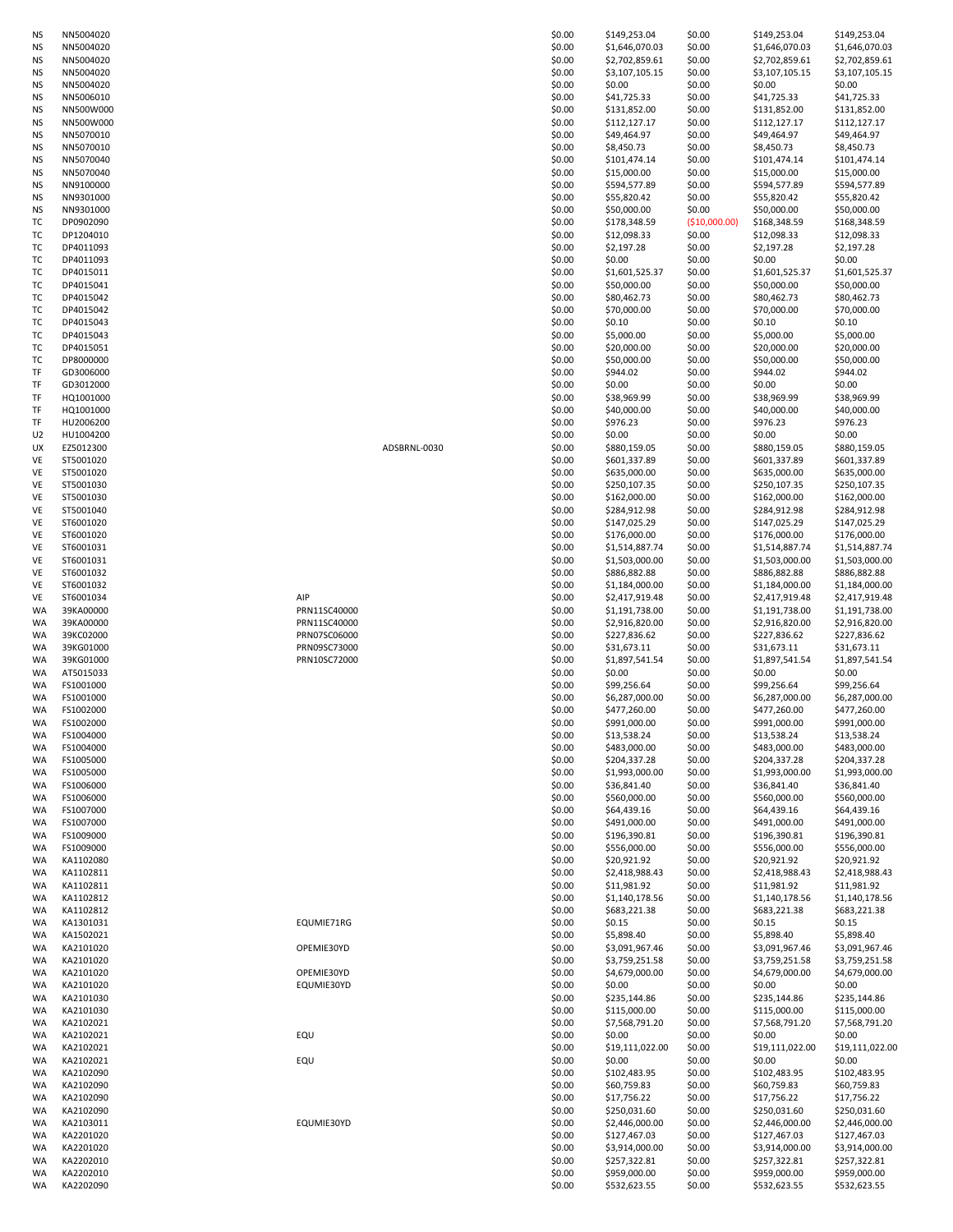| ΝS | NN5004020 |              | \$0.00 | \$149,253.04    | \$0.00        | \$149,253.04    | \$149,253.04    |
|----|-----------|--------------|--------|-----------------|---------------|-----------------|-----------------|
| ΝS | NN5004020 |              | \$0.00 | \$1,646,070.03  | \$0.00        | \$1,646,070.03  | \$1,646,070.03  |
|    |           |              |        |                 |               |                 |                 |
| ΝS | NN5004020 |              | \$0.00 | \$2,702,859.61  | \$0.00        | \$2,702,859.61  | \$2,702,859.61  |
| ΝS | NN5004020 |              | \$0.00 | \$3,107,105.15  | \$0.00        | \$3,107,105.15  | \$3,107,105.15  |
| ΝS | NN5004020 |              | \$0.00 | \$0.00          | \$0.00        | \$0.00          | \$0.00          |
|    |           |              |        |                 |               |                 |                 |
| ΝS | NN5006010 |              | \$0.00 | \$41,725.33     | \$0.00        | \$41,725.33     | \$41,725.33     |
| ΝS | NN500W000 |              | \$0.00 | \$131,852.00    | \$0.00        | \$131,852.00    | \$131,852.00    |
| ΝS | NN500W000 |              | \$0.00 | \$112,127.17    | \$0.00        | \$112,127.17    | \$112,127.17    |
|    |           |              |        |                 |               |                 |                 |
| ΝS | NN5070010 |              | \$0.00 | \$49,464.97     | \$0.00        | \$49,464.97     | \$49,464.97     |
| ΝS | NN5070010 |              | \$0.00 | \$8,450.73      | \$0.00        | \$8,450.73      | \$8,450.73      |
| ΝS | NN5070040 |              | \$0.00 | \$101,474.14    | \$0.00        | \$101,474.14    | \$101,474.14    |
|    |           |              |        |                 |               |                 |                 |
| ΝS | NN5070040 |              | \$0.00 | \$15,000.00     | \$0.00        | \$15,000.00     | \$15,000.00     |
| ΝS | NN9100000 |              | \$0.00 | \$594,577.89    | \$0.00        | \$594,577.89    | \$594,577.89    |
| ΝS | NN9301000 |              | \$0.00 | \$55,820.42     | \$0.00        | \$55,820.42     | \$55,820.42     |
|    |           |              |        |                 |               |                 |                 |
| ΝS | NN9301000 |              | \$0.00 | \$50,000.00     | \$0.00        | \$50,000.00     | \$50,000.00     |
| ТC | DP0902090 |              | \$0.00 | \$178,348.59    | (\$10,000.00) | \$168,348.59    | \$168,348.59    |
| тс | DP1204010 |              | \$0.00 | \$12,098.33     | \$0.00        | \$12,098.33     | \$12,098.33     |
|    |           |              |        |                 |               |                 |                 |
| ТC | DP4011093 |              | \$0.00 | \$2,197.28      | \$0.00        | \$2,197.28      | \$2,197.28      |
| ТC | DP4011093 |              | \$0.00 | \$0.00          | \$0.00        | \$0.00          | \$0.00          |
| тс | DP4015011 |              | \$0.00 | \$1,601,525.37  | \$0.00        | \$1,601,525.37  | \$1,601,525.37  |
|    |           |              |        |                 |               |                 |                 |
| ТC | DP4015041 |              | \$0.00 | \$50,000.00     | \$0.00        | \$50,000.00     | \$50,000.00     |
| тс | DP4015042 |              | \$0.00 | \$80,462.73     | \$0.00        | \$80,462.73     | \$80,462.73     |
| ТC | DP4015042 |              | \$0.00 | \$70,000.00     | \$0.00        | \$70,000.00     | \$70,000.00     |
|    |           |              |        |                 |               |                 |                 |
| ТC | DP4015043 |              | \$0.00 | \$0.10          | \$0.00        | \$0.10          | \$0.10          |
| тс | DP4015043 |              | \$0.00 | \$5,000.00      | \$0.00        | \$5,000.00      | \$5,000.00      |
| ТC | DP4015051 |              | \$0.00 | \$20,000.00     | \$0.00        | \$20,000.00     | \$20,000.00     |
|    |           |              |        |                 |               |                 |                 |
| ТC | DP8000000 |              | \$0.00 | \$50,000.00     | \$0.00        | \$50,000.00     | \$50,000.00     |
| TF | GD3006000 |              | \$0.00 | \$944.02        | \$0.00        | \$944.02        | \$944.02        |
|    |           |              |        |                 |               | \$0.00          | \$0.00          |
| TF | GD3012000 |              | \$0.00 | \$0.00          | \$0.00        |                 |                 |
| TF | HQ1001000 |              | \$0.00 | \$38,969.99     | \$0.00        | \$38,969.99     | \$38,969.99     |
| TF | HQ1001000 |              | \$0.00 | \$40,000.00     | \$0.00        | \$40,000.00     | \$40,000.00     |
|    |           |              |        |                 |               |                 |                 |
| TF | HU2006200 |              | \$0.00 | \$976.23        | \$0.00        | \$976.23        | \$976.23        |
| U2 | HU1004200 |              | \$0.00 | \$0.00          | \$0.00        | \$0.00          | \$0.00          |
| UX | EZ5012300 | ADSBRNL-0030 | \$0.00 | \$880,159.05    | \$0.00        | \$880,159.05    | \$880,159.05    |
|    |           |              |        |                 |               |                 |                 |
| VE | ST5001020 |              | \$0.00 | \$601,337.89    | \$0.00        | \$601,337.89    | \$601,337.89    |
| VE | ST5001020 |              | \$0.00 | \$635,000.00    | \$0.00        | \$635,000.00    | \$635,000.00    |
| VE | ST5001030 |              | \$0.00 | \$250,107.35    | \$0.00        | \$250,107.35    | \$250,107.35    |
|    |           |              |        |                 |               |                 |                 |
| VE | ST5001030 |              | \$0.00 | \$162,000.00    | \$0.00        | \$162,000.00    | \$162,000.00    |
| VE | ST5001040 |              | \$0.00 | \$284,912.98    | \$0.00        | \$284,912.98    | \$284,912.98    |
|    |           |              |        |                 |               |                 |                 |
| VE | ST6001020 |              | \$0.00 | \$147,025.29    | \$0.00        | \$147,025.29    | \$147,025.29    |
| VE | ST6001020 |              | \$0.00 | \$176,000.00    | \$0.00        | \$176,000.00    | \$176,000.00    |
| VE | ST6001031 |              | \$0.00 | \$1,514,887.74  | \$0.00        | \$1,514,887.74  | \$1,514,887.74  |
|    |           |              |        |                 |               |                 |                 |
| VE | ST6001031 |              | \$0.00 | \$1,503,000.00  | \$0.00        | \$1,503,000.00  | \$1,503,000.00  |
| VE | ST6001032 |              | \$0.00 | \$886,882.88    | \$0.00        | \$886,882.88    | \$886,882.88    |
| VE | ST6001032 |              | \$0.00 | \$1,184,000.00  | \$0.00        | \$1,184,000.00  | \$1,184,000.00  |
|    |           |              |        |                 |               |                 |                 |
| VE | ST6001034 | AIP          | \$0.00 | \$2,417,919.48  | \$0.00        | \$2,417,919.48  | \$2,417,919.48  |
| WA | 39KA00000 | PRN11SC40000 | \$0.00 | \$1,191,738.00  | \$0.00        | \$1,191,738.00  | \$1,191,738.00  |
| WA | 39KA00000 | PRN11SC40000 | \$0.00 | \$2,916,820.00  | \$0.00        | \$2,916,820.00  | \$2,916,820.00  |
|    |           |              |        |                 |               |                 |                 |
| WA | 39KC02000 | PRN07SC06000 | \$0.00 | \$227,836.62    | \$0.00        | \$227,836.62    | \$227,836.62    |
| WA | 39KG01000 | PRN09SC73000 | \$0.00 | \$31,673.11     | \$0.00        | \$31,673.11     | \$31,673.11     |
| WA | 39KG01000 | PRN10SC72000 | \$0.00 | \$1,897,541.54  | \$0.00        | \$1,897,541.54  | \$1,897,541.54  |
|    |           |              |        |                 |               |                 |                 |
| WA | AT5015033 |              | \$0.00 | \$0.00          | \$0.00        | \$0.00          | \$0.00          |
| WA | FS1001000 |              | \$0.00 | \$99,256.64     | \$0.00        | \$99,256.64     | \$99,256.64     |
| WA | FS1001000 |              | \$0.00 | \$6,287,000.00  | \$0.00        | \$6,287,000.00  | \$6,287,000.00  |
|    |           |              |        |                 |               |                 |                 |
| WA | FS1002000 |              | \$0.00 | \$477,260.00    | \$0.00        | \$477,260.00    | \$477,260.00    |
| WA | FS1002000 |              | \$0.00 | \$991,000.00    | \$0.00        | \$991,000.00    | \$991,000.00    |
| WA | FS1004000 |              | \$0.00 | \$13,538.24     | \$0.00        | \$13,538.24     | \$13,538.24     |
|    |           |              |        |                 |               |                 |                 |
| WA | FS1004000 |              | \$0.00 | \$483,000.00    | \$0.00        | \$483,000.00    | \$483,000.00    |
| WA | FS1005000 |              | \$0.00 | \$204,337.28    | \$0.00        | \$204,337.28    | \$204,337.28    |
| WA | FS1005000 |              | \$0.00 | \$1,993,000.00  | \$0.00        | \$1,993,000.00  | \$1,993,000.00  |
|    |           |              |        |                 |               |                 |                 |
| WA | FS1006000 |              | \$0.00 | \$36,841.40     | \$0.00        | \$36,841.40     | \$36,841.40     |
| WA | FS1006000 |              | \$0.00 | \$560,000.00    | \$0.00        | \$560,000.00    | \$560,000.00    |
|    |           |              |        |                 |               |                 |                 |
| WA | FS1007000 |              | \$0.00 | \$64,439.16     | \$0.00        | \$64,439.16     | \$64,439.16     |
| WA | FS1007000 |              | \$0.00 | \$491,000.00    | \$0.00        | \$491,000.00    | \$491,000.00    |
| WA | FS1009000 |              | \$0.00 | \$196,390.81    | \$0.00        | \$196,390.81    | \$196,390.81    |
| WA | FS1009000 |              | \$0.00 | \$556,000.00    | \$0.00        | \$556,000.00    | \$556,000.00    |
|    |           |              |        |                 |               |                 |                 |
| WA | KA1102080 |              | \$0.00 | \$20,921.92     | \$0.00        | \$20,921.92     | \$20,921.92     |
| WA | KA1102811 |              | \$0.00 | \$2,418,988.43  | \$0.00        | \$2,418,988.43  | \$2,418,988.43  |
| WA | KA1102811 |              | \$0.00 | \$11,981.92     | \$0.00        | \$11,981.92     | \$11,981.92     |
|    |           |              |        |                 |               |                 |                 |
| WA | KA1102812 |              | \$0.00 | \$1,140,178.56  | \$0.00        | \$1,140,178.56  | \$1,140,178.56  |
| WA | KA1102812 |              | \$0.00 | \$683,221.38    | \$0.00        | \$683,221.38    | \$683,221.38    |
|    | KA1301031 | EQUMIE71RG   |        | \$0.15          | \$0.00        | \$0.15          | \$0.15          |
| WA |           |              | \$0.00 |                 |               |                 |                 |
| WA | KA1502021 |              | \$0.00 | \$5,898.40      | \$0.00        | \$5,898.40      | \$5,898.40      |
| WA | KA2101020 | OPEMIE30YD   | \$0.00 | \$3,091,967.46  | \$0.00        | \$3,091,967.46  | \$3,091,967.46  |
|    | KA2101020 |              |        | \$3,759,251.58  | \$0.00        | \$3,759,251.58  | \$3,759,251.58  |
| WA |           |              | \$0.00 |                 |               |                 |                 |
| WA | KA2101020 | OPEMIE30YD   | \$0.00 | \$4,679,000.00  | \$0.00        | \$4,679,000.00  | \$4,679,000.00  |
| WA | KA2101020 | EQUMIE30YD   | \$0.00 | \$0.00          | \$0.00        | \$0.00          | \$0.00          |
|    |           |              |        |                 |               |                 |                 |
| WA | KA2101030 |              | \$0.00 | \$235,144.86    | \$0.00        | \$235,144.86    | \$235,144.86    |
| WA | KA2101030 |              | \$0.00 | \$115,000.00    | \$0.00        | \$115,000.00    | \$115,000.00    |
| WA | KA2102021 |              | \$0.00 | \$7,568,791.20  | \$0.00        | \$7,568,791.20  | \$7,568,791.20  |
|    |           |              |        |                 |               |                 |                 |
| WA | KA2102021 | EQU          | \$0.00 | \$0.00          | \$0.00        | \$0.00          | \$0.00          |
| WA | KA2102021 |              | \$0.00 | \$19,111,022.00 | \$0.00        | \$19,111,022.00 | \$19,111,022.00 |
|    |           |              |        |                 |               |                 |                 |
| WA | KA2102021 | EQU          | \$0.00 | \$0.00          | \$0.00        | \$0.00          | \$0.00          |
| WA | KA2102090 |              | \$0.00 | \$102,483.95    | \$0.00        | \$102,483.95    | \$102,483.95    |
| WA | KA2102090 |              | \$0.00 | \$60,759.83     | \$0.00        | \$60,759.83     | \$60,759.83     |
|    |           |              |        |                 |               |                 |                 |
| WA | KA2102090 |              | \$0.00 | \$17,756.22     | \$0.00        | \$17,756.22     | \$17,756.22     |
| WA | KA2102090 |              | \$0.00 | \$250,031.60    | \$0.00        | \$250,031.60    | \$250,031.60    |
| WA | KA2103011 | EQUMIE30YD   | \$0.00 | \$2,446,000.00  | \$0.00        | \$2,446,000.00  | \$2,446,000.00  |
|    |           |              |        |                 |               |                 |                 |
| WA | KA2201020 |              | \$0.00 | \$127,467.03    | \$0.00        | \$127,467.03    | \$127,467.03    |
| WA | KA2201020 |              | \$0.00 | \$3,914,000.00  | \$0.00        | \$3,914,000.00  | \$3,914,000.00  |
| WA | KA2202010 |              | \$0.00 | \$257,322.81    | \$0.00        | \$257,322.81    | \$257,322.81    |
|    |           |              |        |                 |               |                 |                 |
| WA | KA2202010 |              | \$0.00 | \$959,000.00    | \$0.00        | \$959,000.00    | \$959,000.00    |
| WA | KA2202090 |              | \$0.00 | \$532,623.55    | \$0.00        | \$532,623.55    | \$532,623.55    |
|    |           |              |        |                 |               |                 |                 |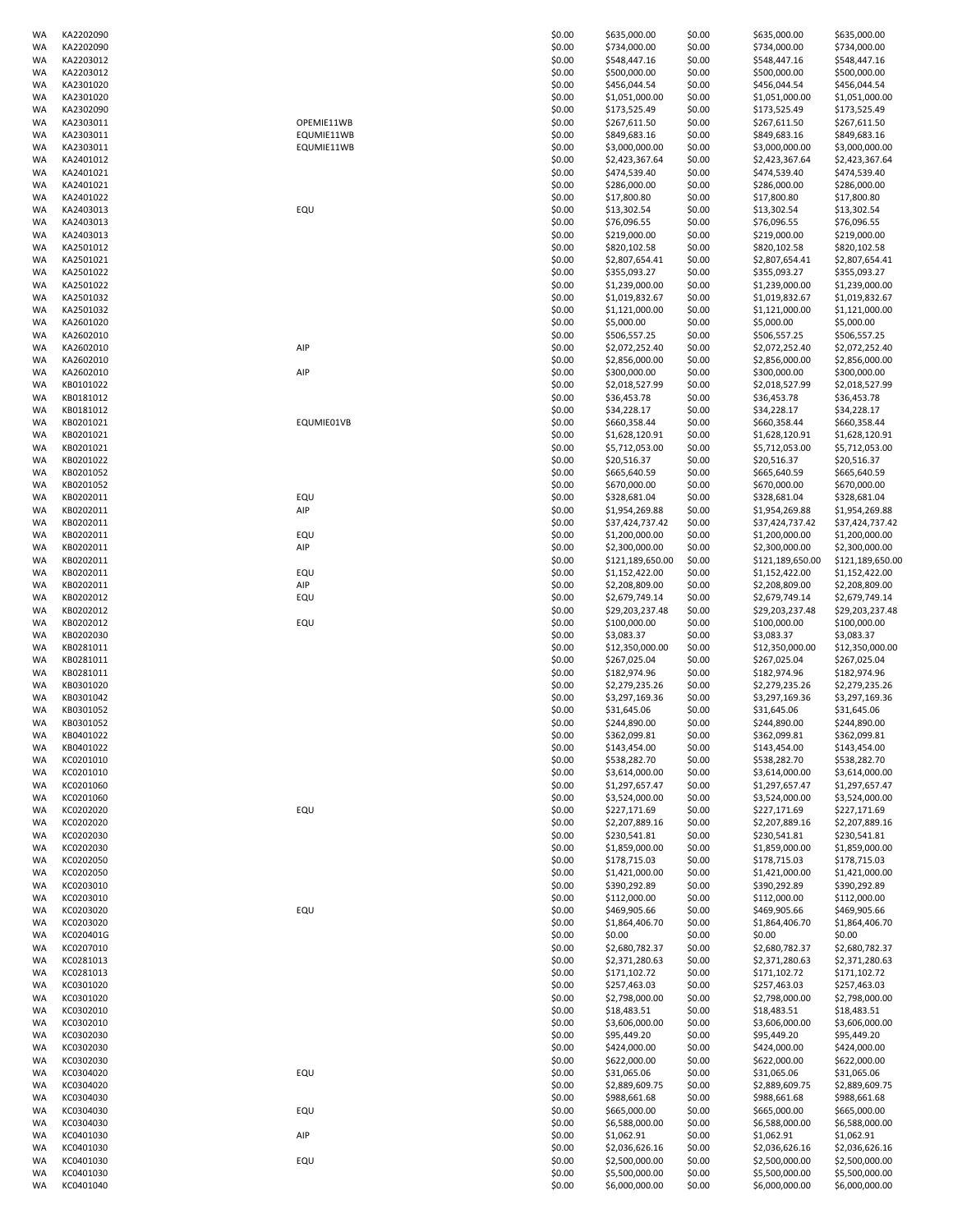| WA       | KA2202090              |            | \$0.00           | \$635,000.00                     | \$0.00           | \$635,000.00                   | \$635,000.00                     |
|----------|------------------------|------------|------------------|----------------------------------|------------------|--------------------------------|----------------------------------|
| WA       | KA2202090              |            | \$0.00           | \$734,000.00                     | \$0.00           | \$734,000.00                   | \$734,000.00                     |
| WA       | KA2203012              |            | \$0.00           | \$548,447.16                     | \$0.00           | \$548,447.16                   | \$548,447.16                     |
| WA       | KA2203012              |            | \$0.00           | \$500,000.00                     | \$0.00           | \$500,000.00                   | \$500,000.00                     |
| WA       | KA2301020              |            | \$0.00           | \$456,044.54                     | \$0.00           | \$456,044.54                   | \$456,044.54                     |
| WA       | KA2301020              |            | \$0.00           | \$1,051,000.00                   | \$0.00           | \$1,051,000.00                 | \$1,051,000.00                   |
| WA       | KA2302090              |            | \$0.00           | \$173,525.49                     | \$0.00           | \$173,525.49                   | \$173,525.49                     |
| WA       | KA2303011              | OPEMIE11WB | \$0.00           | \$267,611.50<br>\$849,683.16     | \$0.00           | \$267,611.50                   | \$267,611.50                     |
| WA       | KA2303011              | EQUMIE11WB | \$0.00           |                                  | \$0.00           | \$849,683.16                   | \$849,683.16                     |
| WA       | KA2303011              | EQUMIE11WB | \$0.00           | \$3,000,000.00                   | \$0.00           | \$3,000,000.00                 | \$3,000,000.00                   |
| WA       | KA2401012              |            | \$0.00           | \$2,423,367.64                   | \$0.00           | \$2,423,367.64                 | \$2,423,367.64                   |
| WA       | KA2401021              |            | \$0.00           | \$474,539.40                     | \$0.00           | \$474,539.40<br>\$286,000.00   | \$474,539.40                     |
| WA<br>WA | KA2401021<br>KA2401022 |            | \$0.00<br>\$0.00 | \$286,000.00<br>\$17,800.80      | \$0.00<br>\$0.00 | \$17,800.80                    | \$286,000.00<br>\$17,800.80      |
| WA       | KA2403013              | EQU        | \$0.00           | \$13,302.54                      | \$0.00           | \$13,302.54                    | \$13,302.54                      |
| WA       | KA2403013              |            | \$0.00           | \$76,096.55                      | \$0.00           | \$76,096.55                    | \$76,096.55                      |
| WA       | KA2403013              |            | \$0.00           | \$219,000.00                     | \$0.00           | \$219,000.00                   | \$219,000.00                     |
| WA       | KA2501012              |            | \$0.00           | \$820,102.58                     | \$0.00           | \$820,102.58                   | \$820,102.58                     |
| WA       | KA2501021              |            | \$0.00           | \$2,807,654.41                   | \$0.00           | \$2,807,654.41                 | \$2,807,654.41                   |
| WA       | KA2501022              |            | \$0.00           | \$355,093.27                     | \$0.00           | \$355,093.27                   | \$355,093.27                     |
| WA       | KA2501022              |            | \$0.00           | \$1,239,000.00                   | \$0.00           | \$1,239,000.00                 | \$1,239,000.00                   |
| WA       | KA2501032              |            | \$0.00           | \$1,019,832.67                   | \$0.00           | \$1,019,832.67                 | \$1,019,832.67                   |
| WA       | KA2501032              |            | \$0.00           | \$1,121,000.00                   | \$0.00           | \$1,121,000.00                 | \$1,121,000.00                   |
| WA       | KA2601020              |            | \$0.00           | \$5,000.00                       | \$0.00           | \$5,000.00                     | \$5,000.00                       |
| WA       | KA2602010              |            | \$0.00           | \$506,557.25                     | \$0.00           | \$506,557.25                   | \$506,557.25                     |
| WA       | KA2602010              | AIP        | \$0.00           | \$2,072,252.40                   | \$0.00           | \$2,072,252.40                 | \$2,072,252.40                   |
| WA       | KA2602010              |            | \$0.00           | \$2,856,000.00                   | \$0.00           | \$2,856,000.00                 | \$2,856,000.00                   |
| WA       | KA2602010              | AIP        | \$0.00           | \$300,000.00                     | \$0.00           | \$300,000.00                   | \$300,000.00                     |
| WA       | KB0101022              |            | \$0.00           | \$2,018,527.99                   | \$0.00           | \$2,018,527.99                 | \$2,018,527.99                   |
| WA       | KB0181012              |            | \$0.00           | \$36,453.78                      | \$0.00           | \$36,453.78                    | \$36,453.78                      |
| WA       | KB0181012              |            | \$0.00           | \$34,228.17                      | \$0.00           | \$34,228.17                    | \$34,228.17                      |
| WA       | KB0201021              | EQUMIE01VB | \$0.00           | \$660,358.44                     | \$0.00           | \$660,358.44                   | \$660,358.44                     |
| WA       | KB0201021              |            | \$0.00           | \$1,628,120.91                   | \$0.00           | \$1,628,120.91                 | \$1,628,120.91                   |
| WA       | KB0201021              |            | \$0.00           | \$5,712,053.00                   | \$0.00           | \$5,712,053.00                 | \$5,712,053.00                   |
| WA       | KB0201022              |            | \$0.00           | \$20,516.37                      | \$0.00           | \$20,516.37                    | \$20,516.37                      |
| WA       | KB0201052              |            | \$0.00           | \$665,640.59                     | \$0.00           | \$665,640.59                   | \$665,640.59                     |
| WA       | KB0201052              |            | \$0.00           | \$670,000.00                     | \$0.00           | \$670,000.00                   | \$670,000.00                     |
| WA       | KB0202011              | EQU        | \$0.00           | \$328,681.04                     | \$0.00           | \$328,681.04                   | \$328,681.04                     |
| WA       | KB0202011              | AIP        | \$0.00           | \$1,954,269.88                   | \$0.00           | \$1,954,269.88                 | \$1,954,269.88                   |
| WA       | KB0202011              |            | \$0.00           | \$37,424,737.42                  | \$0.00           | \$37,424,737.42                | \$37,424,737.42                  |
| WA       | KB0202011              | EQU        | \$0.00           | \$1,200,000.00                   | \$0.00           | \$1,200,000.00                 | \$1,200,000.00                   |
| WA       | KB0202011              | AIP        | \$0.00           | \$2,300,000.00                   | \$0.00           | \$2,300,000.00                 | \$2,300,000.00                   |
| WA       | KB0202011              |            | \$0.00           | \$121,189,650.00                 | \$0.00           | \$121,189,650.00               | \$121,189,650.00                 |
| WA       | KB0202011              | EQU        | \$0.00           | \$1,152,422.00                   | \$0.00           | \$1,152,422.00                 | \$1,152,422.00                   |
| WA       | KB0202011              | AIP        | \$0.00           | \$2,208,809.00                   | \$0.00           | \$2,208,809.00                 | \$2,208,809.00                   |
| WA       | KB0202012              | EQU        | \$0.00           | \$2,679,749.14                   | \$0.00           | \$2,679,749.14                 | \$2,679,749.14                   |
| WA       | KB0202012              |            | \$0.00           | \$29,203,237.48                  | \$0.00           | \$29,203,237.48                | \$29,203,237.48                  |
| WA       | KB0202012              | EQU        | \$0.00           | \$100,000.00                     | \$0.00           | \$100,000.00                   | \$100,000.00                     |
| WA       | KB0202030              |            | \$0.00           | \$3,083.37                       | \$0.00           | \$3,083.37                     | \$3,083.37                       |
| WA       | KB0281011              |            | \$0.00           | \$12,350,000.00                  | \$0.00           | \$12,350,000.00                | \$12,350,000.00                  |
| WA       | KB0281011              |            | \$0.00           | \$267,025.04                     | \$0.00           | \$267,025.04                   | \$267,025.04                     |
| WA       | KB0281011              |            | \$0.00           | \$182,974.96                     | \$0.00           | \$182,974.96                   | \$182,974.96                     |
| WA       | KB0301020              |            | \$0.00           | \$2,279,235.26                   | \$0.00           | \$2,279,235.26                 | \$2,279,235.26                   |
| WA       | KB0301042              |            | \$0.00           | \$3,297,169.36                   | \$0.00           | \$3,297,169.36                 | \$3,297,169.36                   |
| WA       | KB0301052              |            | \$0.00           | \$31,645.06                      | \$0.00           | \$31,645.06                    | \$31,645.06                      |
| WA       | KB0301052              |            | \$0.00           | \$244,890.00                     | \$0.00           | \$244,890.00                   | \$244,890.00                     |
| WA       | KB0401022              |            | \$0.00           | \$362,099.81                     | \$0.00           | \$362,099.81                   | \$362,099.81                     |
| WA       | KB0401022              |            | \$0.00           | \$143,454.00                     | \$0.00           | \$143,454.00                   | \$143,454.00                     |
| WA       | KC0201010              |            | \$0.00           | \$538,282.70                     | \$0.00           | \$538,282.70                   | \$538,282.70                     |
| WA       | KC0201010              |            | \$0.00           | \$3,614,000.00                   | \$0.00           | \$3,614,000.00                 | \$3,614,000.00                   |
| WA       | KC0201060              |            | \$0.00           | \$1,297,657.47                   | \$0.00           | \$1,297,657.47                 | \$1,297,657.47                   |
| WA       | KC0201060              |            | \$0.00           | \$3,524,000.00                   | \$0.00           | \$3,524,000.00                 | \$3,524,000.00                   |
| WA       | KC0202020              | EQU        | \$0.00           | \$227,171.69                     | \$0.00           | \$227,171.69                   | \$227,171.69                     |
| WA       | KC0202020              |            | \$0.00           | \$2,207,889.16                   | \$0.00           | \$2,207,889.16                 | \$2,207,889.16                   |
| WA       | KC0202030              |            | \$0.00           | \$230,541.81                     | \$0.00           | \$230,541.81                   | \$230,541.81                     |
| WA       | KC0202030              |            | \$0.00           | \$1,859,000.00                   | \$0.00           | \$1,859,000.00                 | \$1,859,000.00                   |
| WA       | KC0202050              |            | \$0.00           | \$178,715.03                     | \$0.00           | \$178,715.03                   | \$178,715.03                     |
| WA       | KC0202050              |            | \$0.00           | \$1,421,000.00                   | \$0.00           | \$1,421,000.00<br>\$390,292.89 | \$1,421,000.00                   |
| WA       | KC0203010              |            | \$0.00           | \$390,292.89                     | \$0.00           |                                | \$390,292.89                     |
| WA       | KC0203010              |            | \$0.00           | \$112,000.00                     | \$0.00           | \$112,000.00<br>\$469,905.66   | \$112,000.00                     |
| WA       | KC0203020              | EQU        | \$0.00           | \$469,905.66                     | \$0.00           |                                | \$469,905.66                     |
| WA       | KC0203020              |            | \$0.00           | \$1,864,406.70                   | \$0.00           | \$1,864,406.70                 | \$1,864,406.70                   |
| WA<br>WA | KC020401G<br>KC0207010 |            | \$0.00<br>\$0.00 | \$0.00<br>\$2,680,782.37         | \$0.00<br>\$0.00 | \$0.00<br>\$2,680,782.37       | \$0.00<br>\$2,680,782.37         |
|          |                        |            |                  |                                  |                  |                                |                                  |
| WA       | KC0281013<br>KC0281013 |            | \$0.00<br>\$0.00 | \$2,371,280.63                   | \$0.00           | \$2,371,280.63                 | \$2,371,280.63                   |
| WA       |                        |            |                  | \$171,102.72                     | \$0.00           | \$171,102.72                   | \$171,102.72                     |
| WA<br>WA | KC0301020<br>KC0301020 |            | \$0.00<br>\$0.00 | \$257,463.03<br>\$2,798,000.00   | \$0.00<br>\$0.00 | \$257,463.03<br>\$2,798,000.00 | \$257,463.03<br>\$2,798,000.00   |
|          | KC0302010              |            | \$0.00           | \$18,483.51                      |                  | \$18,483.51                    | \$18,483.51                      |
| WA<br>WA | KC0302010              |            | \$0.00           | \$3,606,000.00                   | \$0.00<br>\$0.00 | \$3,606,000.00                 | \$3,606,000.00                   |
| WA       | KC0302030              |            | \$0.00           | \$95,449.20                      | \$0.00           | \$95,449.20                    | \$95,449.20                      |
| WA       | KC0302030              |            | \$0.00           | \$424,000.00                     | \$0.00           | \$424,000.00                   | \$424,000.00                     |
| WA       | KC0302030              |            | \$0.00           | \$622,000.00                     | \$0.00           | \$622,000.00                   | \$622,000.00                     |
| WA       | KC0304020              | EQU        | \$0.00           | \$31,065.06                      | \$0.00           | \$31,065.06                    | \$31,065.06                      |
| WA       | KC0304020              |            | \$0.00           | \$2,889,609.75                   | \$0.00           | \$2,889,609.75                 | \$2,889,609.75                   |
| WA       | KC0304030              |            | \$0.00           | \$988,661.68                     | \$0.00           | \$988,661.68                   | \$988,661.68                     |
| WA       | KC0304030              | EQU        | \$0.00           | \$665,000.00                     | \$0.00           | \$665,000.00                   | \$665,000.00                     |
| WA       | KC0304030              |            | \$0.00           | \$6,588,000.00                   | \$0.00           | \$6,588,000.00                 | \$6,588,000.00                   |
| WA       | KC0401030              | AIP        | \$0.00           | \$1,062.91                       | \$0.00           | \$1,062.91                     | \$1,062.91                       |
| WA       | KC0401030              |            | \$0.00           | \$2,036,626.16                   | \$0.00           | \$2,036,626.16                 | \$2,036,626.16                   |
| WA       |                        |            |                  |                                  |                  |                                |                                  |
|          | KC0401030              |            | \$0.00           |                                  |                  | \$2,500,000.00                 |                                  |
| WA       | KC0401030              | EQU        | \$0.00           | \$2,500,000.00<br>\$5,500,000.00 | \$0.00           | \$5,500,000.00                 | \$2,500,000.00                   |
| WA       | KC0401040              |            | \$0.00           | \$6,000,000.00                   | \$0.00<br>\$0.00 | \$6,000,000.00                 | \$5,500,000.00<br>\$6,000,000.00 |